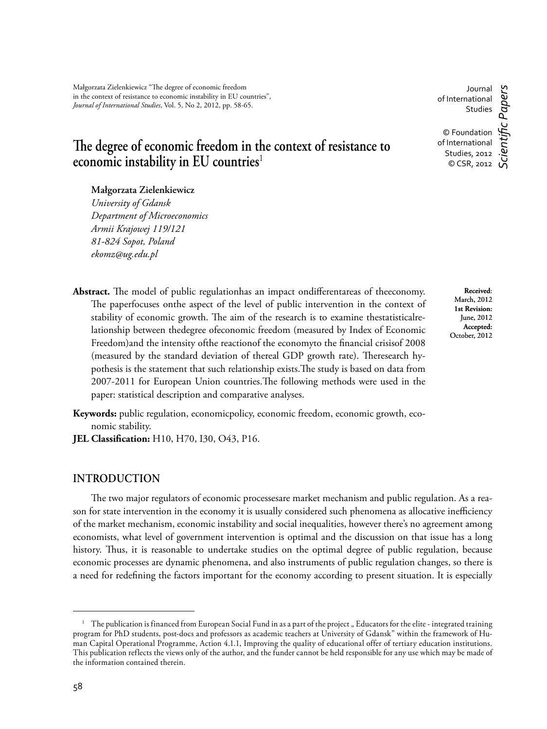# The degree of economic freedom in the context of resistance to **economic instability in EU countries**<sup>1</sup>

### **Małgorzata Zielenkiewicz1**

*University of Gdansk Department of Microeconomics Armii Krajowej 119/121 81-824 Sopot, Poland ekomz@ug.edu.pl*

Abstract. The model of public regulationhas an impact ondifferentareas of theeconomy. The paperfocuses onthe aspect of the level of public intervention in the context of stability of economic growth. The aim of the research is to examine thestatisticalrelationship between thedegree ofeconomic freedom (measured by Index of Economic Freedom)and the intensity of the reaction of the economyto the financial crisisof 2008 (measured by the standard deviation of thereal GDP growth rate). Theresearch hypothesis is the statement that such relationship exists. The study is based on data from 2007-2011 for European Union countries. The following methods were used in the paper: statistical description and comparative analyses.

**Keywords:** public regulation, economicpolicy, economic freedom, economic growth, economic stability.

**JEL Classification:** H10, H70, I30, O43, P16.

### **INTRODUCTION**

The two major regulators of economic processesare market mechanism and public regulation. As a reason for state intervention in the economy it is usually considered such phenomena as allocative inefficiency of the market mechanism, economic instability and social inequalities, however there's no agreement among economists, what level of government intervention is optimal and the discussion on that issue has a long history. Thus, it is reasonable to undertake studies on the optimal degree of public regulation, because economic processes are dynamic phenomena, and also instruments of public regulation changes, so there is a need for redefining the factors important for the economy according to present situation. It is especially

Journal of International Studies © Foundation of International Studies, 2012 © CSR, 2012 *Scientifi c Papers*

> **Received**: March, 2012 **1st Revision:**  June, 2012

<sup>&</sup>lt;sup>1</sup> The publication is financed from European Social Fund in as a part of the project "Educators for the elite - integrated training program for PhD students, post-docs and professors as academic teachers at University of Gdansk" within the framework of Human Capital Operational Programme, Action 4.1.1, Improving the quality of educational offer of tertiary education institutions. This publication reflects the views only of the author, and the funder cannot be held responsible for any use which may be made of the information contained therein.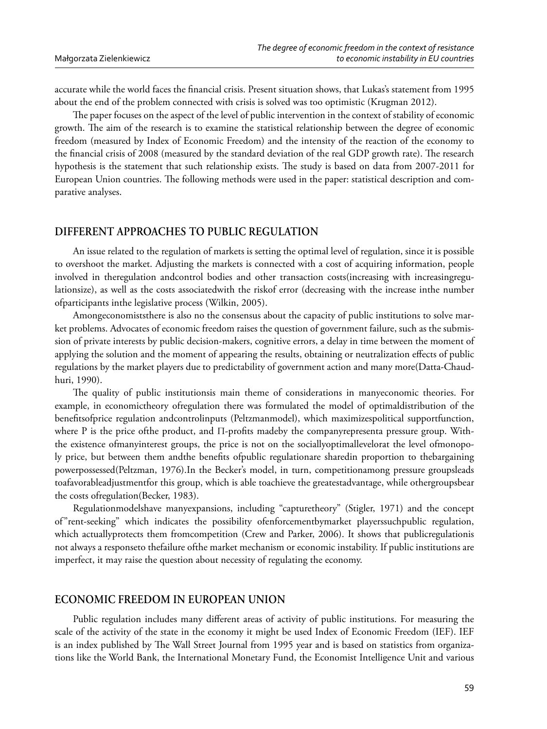accurate while the world faces the financial crisis. Present situation shows, that Lukas's statement from 1995 about the end of the problem connected with crisis is solved was too optimistic (Krugman 2012).

The paper focuses on the aspect of the level of public intervention in the context of stability of economic growth. The aim of the research is to examine the statistical relationship between the degree of economic freedom (measured by Index of Economic Freedom) and the intensity of the reaction of the economy to the financial crisis of 2008 (measured by the standard deviation of the real GDP growth rate). The research hypothesis is the statement that such relationship exists. The study is based on data from 2007-2011 for European Union countries. The following methods were used in the paper: statistical description and comparative analyses.

# DIFFERENT APPROACHES TO PUBLIC REGULATION

An issue related to the regulation of markets is setting the optimal level of regulation, since it is possible to overshoot the market. Adjusting the markets is connected with a cost of acquiring information, people involved in theregulation and control bodies and other transaction costs (increasing with increasing regulationsize), as well as the costs associatedwith the riskof error (decreasing with the increase inthe number ofparticipants inthe legislative process (Wilkin, 2005).

Amongeconomists there is also no the consensus about the capacity of public institutions to solve market problems. Advocates of economic freedom raises the question of government failure, such as the submission of private interests by public decision-makers, cognitive errors, a delay in time between the moment of applying the solution and the moment of appearing the results, obtaining or neutralization effects of public regulations by the market players due to predictability of government action and many more(Datta-Chaudhuri, 1990).

The quality of public institutionsis main theme of considerations in manyeconomic theories. For example, in economictheory of regulation there was formulated the model of optimal distribution of the benefitsofprice regulation andcontrolinputs (Peltzmanmodel), which maximizespolitical supportfunction, where P is the price of the product, and  $\Pi$ -profits madeby the company representa pressure group. Withthe existence of many interest groups, the price is not on the socially optimal levelorat the level of monopoly price, but between them andthe benefits ofpublic regulationare sharedin proportion to thebargaining powerpossessed(Peltzman, 1976).In the Becker's model, in turn, competitionamong pressure groupsleads toafavorableadjustmentfor this group, which is able toachieve the greatestadvantage, while othergroupsbear the costs of regulation (Becker, 1983).

Regulationmodelshave manyexpansions, including "capturetheory" (Stigler, 1971) and the concept of"rent-seeking" which indicates the possibility ofenforcementbymarket playerssuchpublic regulation, which actuallyprotects them fromcompetition (Crew and Parker, 2006). It shows that publicregulationis not always a responseto thefailure of the market mechanism or economic instability. If public institutions are imperfect, it may raise the question about necessity of regulating the economy.

# ECONOMIC FREEDOM IN EUROPEAN UNION

Public regulation includes many different areas of activity of public institutions. For measuring the scale of the activity of the state in the economy it might be used Index of Economic Freedom (IEF). IEF is an index published by The Wall Street Journal from 1995 year and is based on statistics from organizations like the World Bank, the International Monetary Fund, the Economist Intelligence Unit and various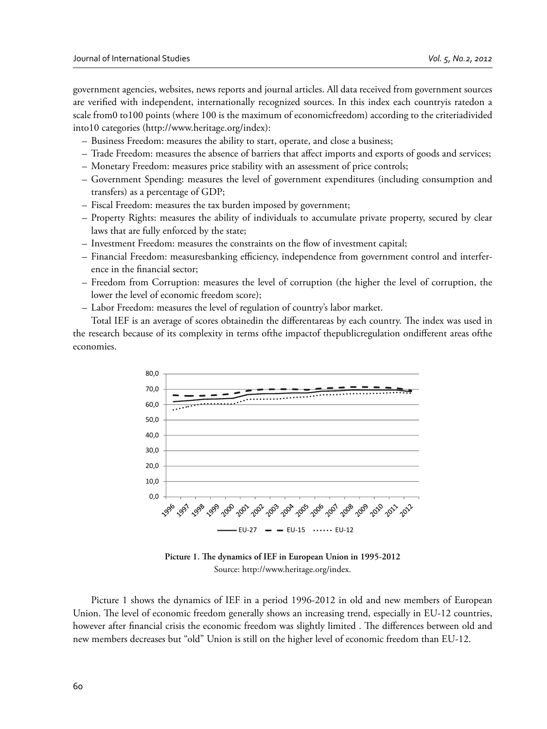government agencies, websites, news reports and journal articles. All data received from government sources are verified with independent, internationally recognized sources. In this index each countryis ratedon a scale from0 to100 points (where 100 is the maximum of economicfreedom) according to the criteriadivided into10 categories (http://www.heritage.org/index):

- Business Freedom: measures the ability to start, operate, and close a business;
- Trade Freedom: measures the absence of barriers that affect imports and exports of goods and services;
- Monetary Freedom: measures price stability with an assessment of price controls;
- Government Spending: measures the level of government expenditures (including consumption and transfers) as a percentage of GDP;
- Fiscal Freedom: measures the tax burden imposed by government;
- Property Rights: measures the ability of individuals to accumulate private property, secured by clear laws that are fully enforced by the state;
- Investment Freedom: measures the constraints on the flow of investment capital;
- Financial Freedom: measuresbanking efficiency, independence from government control and interference in the financial sector;
- Freedom from Corruption: measures the level of corruption (the higher the level of corruption, the lower the level of economic freedom score);
- Labor Freedom: measures the level of regulation of country's labor market.

Total IEF is an average of scores obtainedin the differentareas by each country. The index was used in the research because of its complexity in terms ofthe impactof thepublicregulation ondifferent areas ofthe economies.



Picture 1. The dynamics of IEF in European Union in 1995-2012 Source: http://www.heritage.org/index.

Picture 1 shows the dynamics of IEF in a period 1996-2012 in old and new members of European Union. The level of economic freedom generally shows an increasing trend, especially in EU-12 countries, however after financial crisis the economic freedom was slightly limited . The differences between old and new members decreases but "old" Union is still on the higher level of economic freedom than EU-12.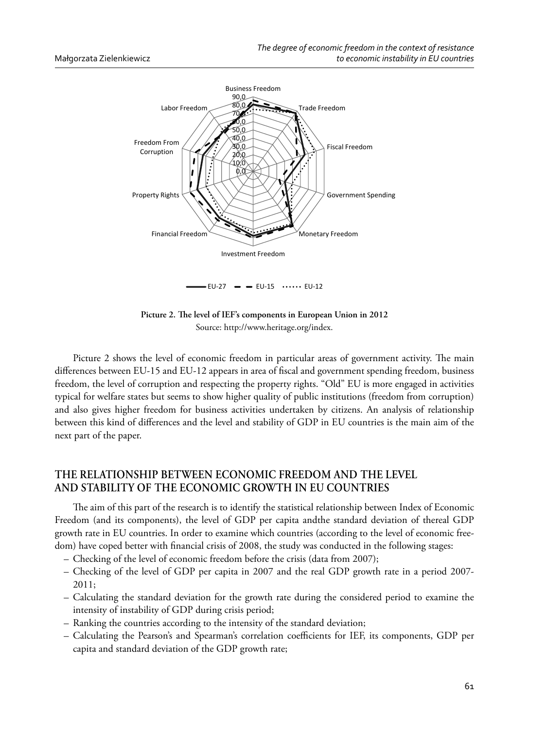

Picture 2. The level of IEF's components in European Union in 2012 Source: http://www.heritage.org/index.

Picture 2 shows the level of economic freedom in particular areas of government activity. The main differences between EU-15 and EU-12 appears in area of fiscal and government spending freedom, business freedom, the level of corruption and respecting the property rights. "Old" EU is more engaged in activities typical for welfare states but seems to show higher quality of public institutions (freedom from corruption) and also gives higher freedom for business activities undertaken by citizens. An analysis of relationship between this kind of differences and the level and stability of GDP in EU countries is the main aim of the next part of the paper.

# **THE RELATIONSHIP BETWEEN ECONOMIC FREEDOM AND THE LEVEL AND STABILITY OF THE ECONOMIC GROWTH IN EU COUNTRIES**

The aim of this part of the research is to identify the statistical relationship between Index of Economic Freedom (and its components), the level of GDP per capita andthe standard deviation of thereal GDP growth rate in EU countries. In order to examine which countries (according to the level of economic freedom) have coped better with financial crisis of 2008, the study was conducted in the following stages:

- Checking of the level of economic freedom before the crisis (data from 2007);
- Checking of the level of GDP per capita in 2007 and the real GDP growth rate in a period 2007- 2011;
- Calculating the standard deviation for the growth rate during the considered period to examine the intensity of instability of GDP during crisis period;
- Ranking the countries according to the intensity of the standard deviation;
- Calculating the Pearson's and Spearman's correlation coefficients for IEF, its components, GDP per capita and standard deviation of the GDP growth rate;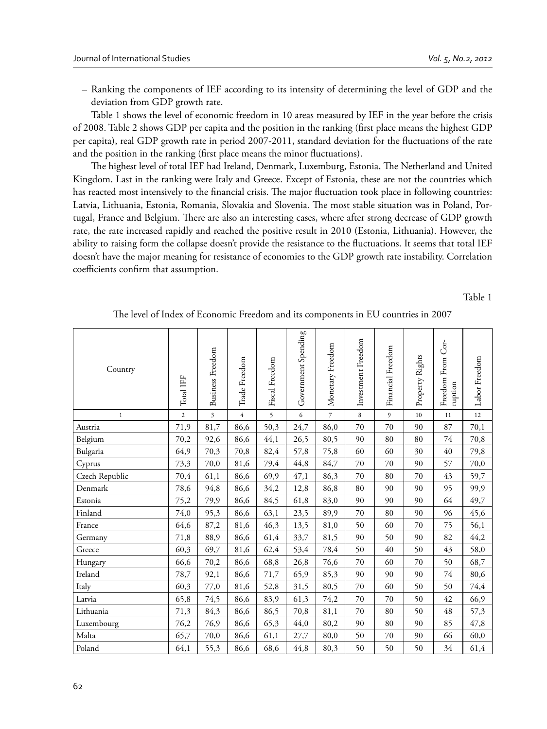– Ranking the components of IEF according to its intensity of determining the level of GDP and the deviation from GDP growth rate.

Table 1 shows the level of economic freedom in 10 areas measured by IEF in the year before the crisis of 2008. Table 2 shows GDP per capita and the position in the ranking (first place means the highest GDP per capita), real GDP growth rate in period 2007-2011, standard deviation for the fluctuations of the rate and the position in the ranking (first place means the minor fluctuations).

The highest level of total IEF had Ireland, Denmark, Luxemburg, Estonia, The Netherland and United Kingdom. Last in the ranking were Italy and Greece. Except of Estonia, these are not the countries which has reacted most intensively to the financial crisis. The major fluctuation took place in following countries: Latvia, Lithuania, Estonia, Romania, Slovakia and Slovenia. The most stable situation was in Poland, Portugal, France and Belgium. There are also an interesting cases, where after strong decrease of GDP growth rate, the rate increased rapidly and reached the positive result in 2010 (Estonia, Lithuania). However, the ability to raising form the collapse doesn't provide the resistance to the fluctuations. It seems that total IEF doesn't have the major meaning for resistance of economies to the GDP growth rate instability. Correlation coefficients confirm that assumption.

Table 1

| Country        | Total IEF      | <b>Business</b> Freedom | Trade Freedom  | Fiscal Freedom | Government Spending | Monetary Freedom | Investment Freedom | Financial Freedom | Property Rights | Freedom From Cor-<br>ruption | Labor Freedom |
|----------------|----------------|-------------------------|----------------|----------------|---------------------|------------------|--------------------|-------------------|-----------------|------------------------------|---------------|
| $\,1\,$        | $\overline{c}$ | $\overline{\mathbf{3}}$ | $\overline{4}$ | 5              | 6                   | $\overline{7}$   | 8                  | 9                 | 10              | 11                           | 12            |
| Austria        | 71,9           | 81,7                    | 86,6           | 50,3           | 24,7                | 86,0             | 70                 | 70                | 90              | 87                           | 70,1          |
| Belgium        | 70,2           | 92,6                    | 86,6           | 44,1           | 26,5                | 80,5             | 90                 | 80                | 80              | 74                           | 70,8          |
| Bulgaria       | 64,9           | 70,3                    | 70,8           | 82,4           | 57,8                | 75,8             | 60                 | 60                | 30              | 40                           | 79,8          |
| Cyprus         | 73,3           | 70,0                    | 81,6           | 79,4           | 44,8                | 84,7             | 70                 | 70                | 90              | 57                           | 70,0          |
| Czech Republic | 70,4           | 61,1                    | 86,6           | 69,9           | 47,1                | 86,3             | 70                 | 80                | 70              | 43                           | 59,7          |
| Denmark        | 78,6           | 94,8                    | 86,6           | 34,2           | 12,8                | 86,8             | 80                 | 90                | 90              | 95                           | 99,9          |
| Estonia        | 75,2           | 79,9                    | 86,6           | 84,5           | 61,8                | 83,0             | 90                 | 90                | 90              | 64                           | 49,7          |
| Finland        | 74,0           | 95,3                    | 86,6           | 63,1           | 23,5                | 89,9             | 70                 | 80                | 90              | 96                           | 45,6          |
| France         | 64,6           | 87,2                    | 81,6           | 46,3           | 13,5                | 81,0             | 50                 | 60                | 70              | 75                           | 56,1          |
| Germany        | 71,8           | 88,9                    | 86,6           | 61,4           | 33,7                | 81,5             | 90                 | 50                | 90              | 82                           | 44,2          |
| Greece         | 60,3           | 69,7                    | 81,6           | 62,4           | 53,4                | 78,4             | 50                 | 40                | 50              | 43                           | 58,0          |
| Hungary        | 66,6           | 70,2                    | 86,6           | 68,8           | 26,8                | 76,6             | 70                 | 60                | 70              | 50                           | 68,7          |
| Ireland        | 78,7           | 92,1                    | 86,6           | 71,7           | 65,9                | 85,3             | 90                 | 90                | 90              | 74                           | 80,6          |
| Italy          | 60,3           | 77,0                    | 81,6           | 52,8           | 31,5                | 80,5             | 70                 | 60                | 50              | 50                           | 74,4          |
| Latvia         | 65,8           | 74,5                    | 86,6           | 83,9           | 61,3                | 74,2             | 70                 | 70                | 50              | 42                           | 66,9          |
| Lithuania      | 71,3           | 84,3                    | 86,6           | 86,5           | 70,8                | 81,1             | 70                 | 80                | 50              | 48                           | 57,3          |
| Luxembourg     | 76,2           | 76,9                    | 86,6           | 65,3           | 44,0                | 80,2             | 90                 | 80                | 90              | 85                           | 47,8          |
| Malta          | 65,7           | 70,0                    | 86,6           | 61,1           | 27,7                | 80,0             | 50                 | 70                | 90              | 66                           | 60,0          |
| Poland         | 64,1           | 55,3                    | 86,6           | 68,6           | 44,8                | 80,3             | 50                 | 50                | 50              | 34                           | 61,4          |

The level of Index of Economic Freedom and its components in EU countries in 2007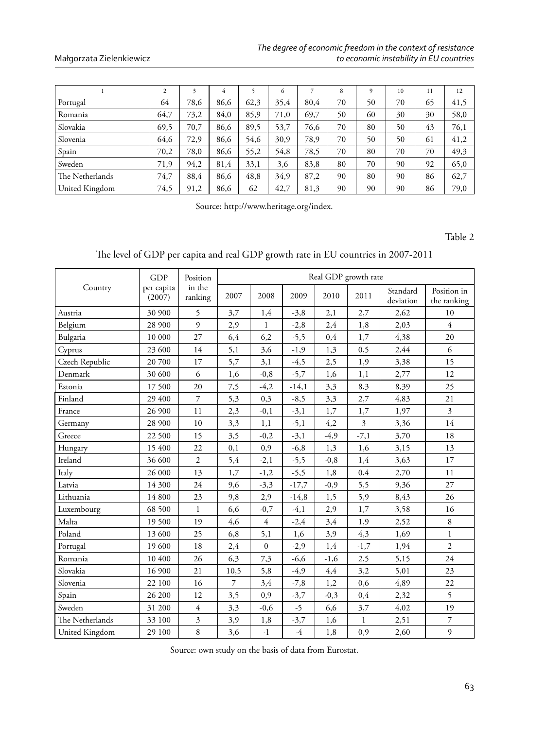### Małgorzata Zielenkiewicz

|                 | $\overline{c}$ | 3    | 4    |      | 6    |      | 8  | 9  | 10 | 11 | 12   |
|-----------------|----------------|------|------|------|------|------|----|----|----|----|------|
| Portugal        | 64             | 78.6 | 86.6 | 62,3 | 35,4 | 80.4 | 70 | 50 | 70 | 65 | 41,5 |
| Romania         | 64,7           | 73,2 | 84,0 | 85,9 | 71,0 | 69,7 | 50 | 60 | 30 | 30 | 58,0 |
| l Slovakia      | 69,5           | 70,7 | 86,6 | 89,5 | 53,7 | 76,6 | 70 | 80 | 50 | 43 | 76,1 |
| Slovenia        | 64,6           | 72,9 | 86,6 | 54,6 | 30,9 | 78,9 | 70 | 50 | 50 | 61 | 41,2 |
| Spain           | 70,2           | 78,0 | 86,6 | 55,2 | 54,8 | 78,5 | 70 | 80 | 70 | 70 | 49,3 |
| Sweden          | 71,9           | 94,2 | 81,4 | 33,1 | 3,6  | 83,8 | 80 | 70 | 90 | 92 | 65,0 |
| The Netherlands | 74,7           | 88.4 | 86.6 | 48,8 | 34,9 | 87,2 | 90 | 80 | 90 | 86 | 62,7 |
| United Kingdom  | 74,5           | 91,2 | 86,6 | 62   | 42,7 | 81,3 | 90 | 90 | 90 | 86 | 79,0 |

Source: http://www.heritage.org/index.

Table 2

The level of GDP per capita and real GDP growth rate in EU countries in 2007-2011

|                 | GDP                  | Position                | Real GDP growth rate |                |         |        |                |                       |                            |  |  |
|-----------------|----------------------|-------------------------|----------------------|----------------|---------|--------|----------------|-----------------------|----------------------------|--|--|
| Country         | per capita<br>(2007) | in the<br>ranking       | 2007                 | 2008           | 2009    | 2010   | 2011           | Standard<br>deviation | Position in<br>the ranking |  |  |
| Austria         | 30 900               | 5                       | 3,7                  | 1,4            | $-3,8$  | 2,1    | 2,7            | 2,62                  | 10                         |  |  |
| Belgium         | 28 900               | 9                       | 2,9                  | $\mathbf{1}$   | $-2,8$  | 2,4    | 1,8            | 2,03                  | $\overline{4}$             |  |  |
| Bulgaria        | 10 000               | 27                      | 6,4                  | 6,2            | $-5,5$  | 0,4    | 1,7            | 4,38                  | 20                         |  |  |
| Cyprus          | 23 600               | 14                      | 5,1                  | 3,6            | $-1,9$  | 1,3    | 0,5            | 2,44                  | 6                          |  |  |
| Czech Republic  | 20 700               | 17                      | 5,7                  | 3,1            | $-4,5$  | 2,5    | 1,9            | 3,38                  | 15                         |  |  |
| Denmark         | 30 600               | 6                       | 1,6                  | $-0,8$         | $-5,7$  | 1,6    | 1,1            | 2,77                  | 12                         |  |  |
| Estonia         | 17 500               | 20                      | 7,5                  | $-4,2$         | $-14,1$ | 3,3    | 8,3            | 8,39                  | 25                         |  |  |
| Finland         | 29 400               | $\overline{7}$          | 5,3                  | 0,3            | $-8,5$  | 3,3    | 2,7            | 4,83                  | 21                         |  |  |
| France          | 26 900               | 11                      | 2,3                  | $-0,1$         | $-3,1$  | 1,7    | 1,7            | 1,97                  | $\overline{3}$             |  |  |
| Germany         | 28 900               | 10                      | 3,3                  | 1,1            | $-5,1$  | 4,2    | $\overline{3}$ | 3,36                  | 14                         |  |  |
| Greece          | 22 500               | 15                      | 3,5                  | $-0,2$         | $-3,1$  | $-4,9$ | $-7,1$         | 3,70                  | 18                         |  |  |
| Hungary         | 15 400               | 22                      | 0,1                  | 0,9            | $-6,8$  | 1,3    | 1,6            | 3,15                  | 13                         |  |  |
| Ireland         | 36 600               | $\overline{2}$          | 5,4                  | $-2,1$         | $-5,5$  | $-0,8$ | 1,4            | 3,63                  | 17                         |  |  |
| Italy           | 26 000               | 13                      | 1,7                  | $-1,2$         | $-5,5$  | 1,8    | 0,4            | 2,70                  | 11                         |  |  |
| Latvia          | 14 300               | 24                      | 9,6                  | $-3,3$         | $-17,7$ | $-0,9$ | 5,5            | 9,36                  | 27                         |  |  |
| Lithuania       | 14 800               | 23                      | 9,8                  | 2,9            | $-14,8$ | 1,5    | 5,9            | 8,43                  | 26                         |  |  |
| Luxembourg      | 68 500               | $\mathbf{1}$            | 6,6                  | $-0,7$         | $-4,1$  | 2,9    | 1,7            | 3,58                  | 16                         |  |  |
| Malta           | 19 500               | 19                      | 4,6                  | $\overline{4}$ | $-2,4$  | 3,4    | 1,9            | 2,52                  | 8                          |  |  |
| Poland          | 13 600               | 25                      | 6,8                  | 5,1            | 1,6     | 3,9    | 4,3            | 1,69                  | $\mathbf{1}$               |  |  |
| Portugal        | 19 600               | 18                      | 2,4                  | $\theta$       | $-2,9$  | 1,4    | $-1,7$         | 1,94                  | $\overline{2}$             |  |  |
| Romania         | 10 400               | 26                      | 6,3                  | 7,3            | $-6,6$  | $-1,6$ | 2,5            | 5,15                  | 24                         |  |  |
| Slovakia        | 16 900               | 21                      | 10,5                 | 5,8            | $-4,9$  | 4,4    | 3,2            | 5,01                  | 23                         |  |  |
| Slovenia        | 22 100               | 16                      | 7                    | 3,4            | $-7,8$  | 1,2    | 0,6            | 4,89                  | 22                         |  |  |
| Spain           | 26 200               | 12                      | 3,5                  | 0,9            | $-3,7$  | $-0,3$ | 0,4            | 2,32                  | 5                          |  |  |
| Sweden          | 31 200               | $\overline{4}$          | 3,3                  | $-0,6$         | $-5$    | 6,6    | 3,7            | 4,02                  | 19                         |  |  |
| The Netherlands | 33 100               | $\overline{\mathbf{3}}$ | 3,9                  | 1,8            | $-3,7$  | 1,6    | $\mathbf{1}$   | 2,51                  | $\overline{\mathcal{I}}$   |  |  |
| United Kingdom  | 29 100               | 8                       | 3,6                  | $-1$           | $-4$    | 1,8    | 0,9            | 2,60                  | 9                          |  |  |

Source: own study on the basis of data from Eurostat.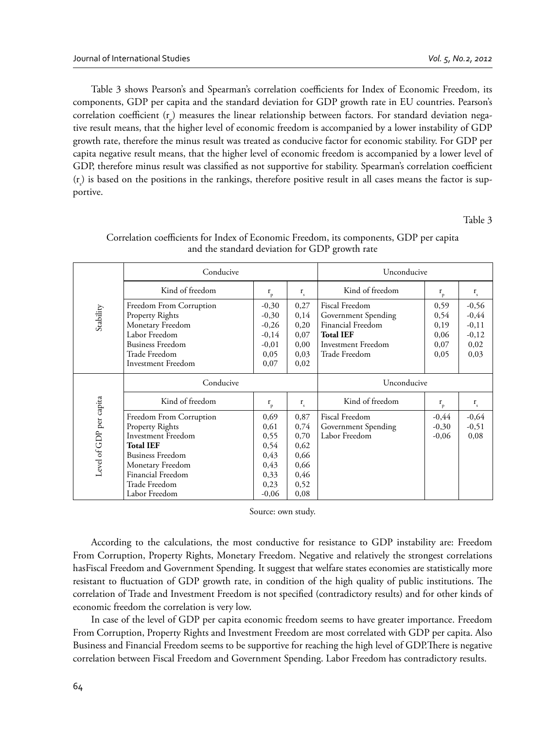Table 3 shows Pearson's and Spearman's correlation coefficients for Index of Economic Freedom, its components, GDP per capita and the standard deviation for GDP growth rate in EU countries. Pearson's correlation coefficient (r<sub>p</sub>) measures the linear relationship between factors. For standard deviation negative result means, that the higher level of economic freedom is accompanied by a lower instability of GDP growth rate, therefore the minus result was treated as conducive factor for economic stability. For GDP per capita negative result means, that the higher level of economic freedom is accompanied by a lower level of GDP, therefore minus result was classified as not supportive for stability. Spearman's correlation coefficient  $(r_{\rm s})$  is based on the positions in the rankings, therefore positive result in all cases means the factor is supportive.

Table 3

|                         | Conducive                                                                                                                                                |                                                                     | Unconducive                                          |                                                                                                                       |                                              |                                                          |  |
|-------------------------|----------------------------------------------------------------------------------------------------------------------------------------------------------|---------------------------------------------------------------------|------------------------------------------------------|-----------------------------------------------------------------------------------------------------------------------|----------------------------------------------|----------------------------------------------------------|--|
|                         | Kind of freedom                                                                                                                                          | $\mathbf{r}_{_{\mathrm{p}}}$                                        | $\mathbf{r}_{\rm s}$                                 | Kind of freedom                                                                                                       | $\mathbf{r}_{_{\mathrm{p}}}$                 | $r_{\rm s}$                                              |  |
| Stability               | Freedom From Corruption<br><b>Property Rights</b><br>Monetary Freedom<br>Labor Freedom<br><b>Business Freedom</b><br>Trade Freedom<br>Investment Freedom | $-0,30$<br>$-0,30$<br>$-0,26$<br>$-0,14$<br>$-0,01$<br>0,05<br>0,07 | 0,27<br>0,14<br>0,20<br>0,07<br>0,00<br>0,03<br>0,02 | Fiscal Freedom<br>Government Spending<br>Financial Freedom<br><b>Total IEF</b><br>Investment Freedom<br>Trade Freedom | 0,59<br>0,54<br>0,19<br>0,06<br>0,07<br>0,05 | $-0,56$<br>$-0,44$<br>$-0,11$<br>$-0,12$<br>0,02<br>0,03 |  |
|                         | Conducive                                                                                                                                                |                                                                     | Unconducive                                          |                                                                                                                       |                                              |                                                          |  |
|                         | Kind of freedom                                                                                                                                          | $\mathbf{r}_{_{\mathrm{p}}}$                                        | $\mathbf{r}_s$                                       | Kind of freedom                                                                                                       | $\mathbf{r}_{_{\mathrm{p}}}$                 | $r_{\rm s}$                                              |  |
|                         | Freedom From Corruption                                                                                                                                  | 0,69                                                                | 0,87                                                 | Fiscal Freedom                                                                                                        | $-0,44$                                      | $-0,64$                                                  |  |
|                         | Property Rights                                                                                                                                          | 0,61                                                                | 0,74                                                 | Government Spending                                                                                                   | $-0,30$                                      | $-0,51$                                                  |  |
|                         | <b>Investment Freedom</b>                                                                                                                                | 0,55                                                                | 0,70                                                 | Labor Freedom                                                                                                         | $-0,06$                                      | 0,08                                                     |  |
|                         | <b>Total IEF</b>                                                                                                                                         | 0,54                                                                | 0,62                                                 |                                                                                                                       |                                              |                                                          |  |
| Level of GDP per capita | <b>Business Freedom</b>                                                                                                                                  | 0,43                                                                | 0,66                                                 |                                                                                                                       |                                              |                                                          |  |
|                         | Monetary Freedom                                                                                                                                         | 0,43                                                                | 0,66                                                 |                                                                                                                       |                                              |                                                          |  |
|                         | Financial Freedom                                                                                                                                        | 0,33                                                                | 0,46                                                 |                                                                                                                       |                                              |                                                          |  |
|                         | Trade Freedom                                                                                                                                            | 0,23                                                                | 0,52                                                 |                                                                                                                       |                                              |                                                          |  |
|                         | Labor Freedom                                                                                                                                            | $-0,06$                                                             | 0,08                                                 |                                                                                                                       |                                              |                                                          |  |

### Correlation coefficients for Index of Economic Freedom, its components, GDP per capita and the standard deviation for GDP growth rate

Source: own study.

According to the calculations, the most conductive for resistance to GDP instability are: Freedom From Corruption, Property Rights, Monetary Freedom. Negative and relatively the strongest correlations hasFiscal Freedom and Government Spending. It suggest that welfare states economies are statistically more resistant to fluctuation of GDP growth rate, in condition of the high quality of public institutions. The correlation of Trade and Investment Freedom is not specified (contradictory results) and for other kinds of economic freedom the correlation is very low.

In case of the level of GDP per capita economic freedom seems to have greater importance. Freedom From Corruption, Property Rights and Investment Freedom are most correlated with GDP per capita. Also Business and Financial Freedom seems to be supportive for reaching the high level of GDP. There is negative correlation between Fiscal Freedom and Government Spending. Labor Freedom has contradictory results.